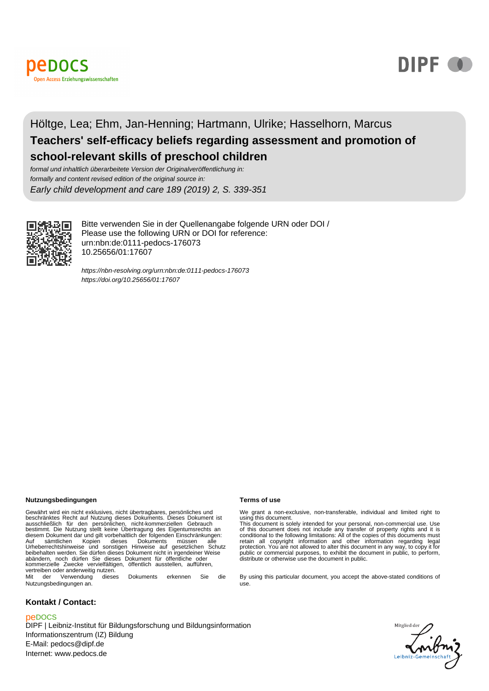



## Höltge, Lea; Ehm, Jan-Henning; Hartmann, Ulrike; Hasselhorn, Marcus **Teachers' self-efficacy beliefs regarding assessment and promotion of school-relevant skills of preschool children**

formal und inhaltlich überarbeitete Version der Originalveröffentlichung in: formally and content revised edition of the original source in: Early child development and care 189 (2019) 2, S. 339-351



Bitte verwenden Sie in der Quellenangabe folgende URN oder DOI / Please use the following URN or DOI for reference: urn:nbn:de:0111-pedocs-176073 10.25656/01:17607

<https://nbn-resolving.org/urn:nbn:de:0111-pedocs-176073> <https://doi.org/10.25656/01:17607>

#### **Nutzungsbedingungen Terms of use**

Gewährt wird ein nicht exklusives, nicht übertragbares, persönliches und<br>beschränktes Recht auf Nutzung dieses Dokuments. Dieses Dokument ist<br>ausschließlich für den persönlichen, nicht-kommerziellen Gebrauch<br>bestimmt. Die Auf sämtlichen Kopien dieses Dokuments müssen alle Urheberrechtshinweise und sonstigen Hinweise auf gesetzlichen Schutz beibehalten werden. Sie dürfen dieses Dokument nicht in irgendeiner Weise abändern, noch dürfen Sie dieses Dokument für öffentliche oder kommerzielle Zwecke vervielfältigen, öffentlich ausstellen, aufführen, vertreiben oder anderweitig nutzen. Mit der Verwendung dieses Dokuments erkennen Sie die

Nutzungsbedingungen an.

#### **Kontakt / Contact:**

#### peDOCS

DIPF | Leibniz-Institut für Bildungsforschung und Bildungsinformation Informationszentrum (IZ) Bildung E-Mail: pedocs@dipf.de Internet: www.pedocs.de

We grant a non-exclusive, non-transferable, individual and limited right to<br>using this document.<br>This document is solely intended for your personal, non-commercial use. Use<br>of this document does not include any transfer of

By using this particular document, you accept the above-stated conditions of use.

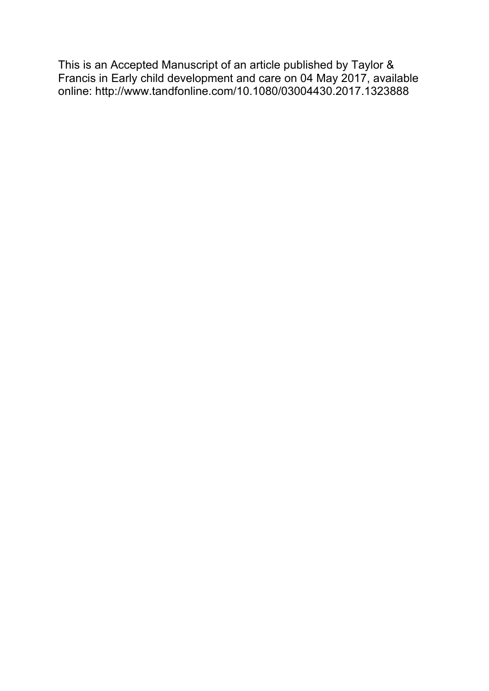This is an Accepted Manuscript of an article published by Taylor & Francis in Early child development and care on 04 May 2017, available online: http://www.tandfonline.com/10.1080/03004430.2017.1323888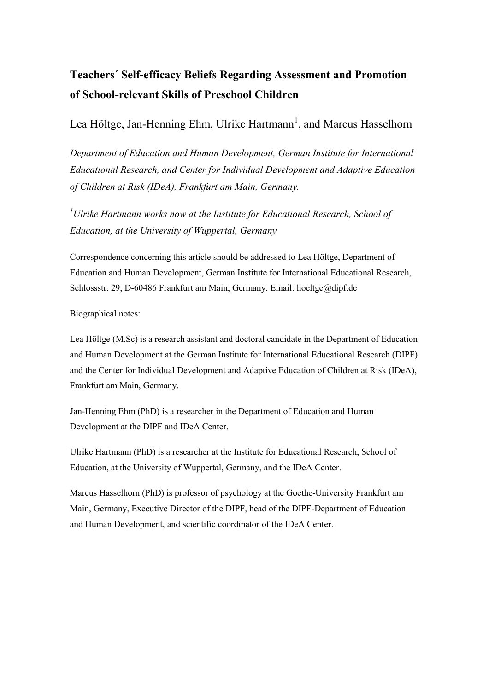# **Teachers´ Self-efficacy Beliefs Regarding Assessment and Promotion of School-relevant Skills of Preschool Children**

Lea Höltge, Jan-Henning Ehm, Ulrike Hartmann<sup>1</sup>, and Marcus Hasselhorn

*Department of Education and Human Development, German Institute for International Educational Research, and Center for Individual Development and Adaptive Education of Children at Risk (IDeA), Frankfurt am Main, Germany.* 

*<sup>1</sup>Ulrike Hartmann works now at the Institute for Educational Research, School of Education, at the University of Wuppertal, Germany* 

Correspondence concerning this article should be addressed to Lea Höltge, Department of Education and Human Development, German Institute for International Educational Research, Schlossstr. 29, D-60486 Frankfurt am Main, Germany. Email: hoeltge@dipf.de

Biographical notes:

Lea Höltge (M.Sc) is a research assistant and doctoral candidate in the Department of Education and Human Development at the German Institute for International Educational Research (DIPF) and the Center for Individual Development and Adaptive Education of Children at Risk (IDeA), Frankfurt am Main, Germany.

Jan-Henning Ehm (PhD) is a researcher in the Department of Education and Human Development at the DIPF and IDeA Center.

Ulrike Hartmann (PhD) is a researcher at the Institute for Educational Research, School of Education, at the University of Wuppertal, Germany, and the IDeA Center.

Marcus Hasselhorn (PhD) is professor of psychology at the Goethe-University Frankfurt am Main, Germany, Executive Director of the DIPF, head of the DIPF-Department of Education and Human Development, and scientific coordinator of the IDeA Center.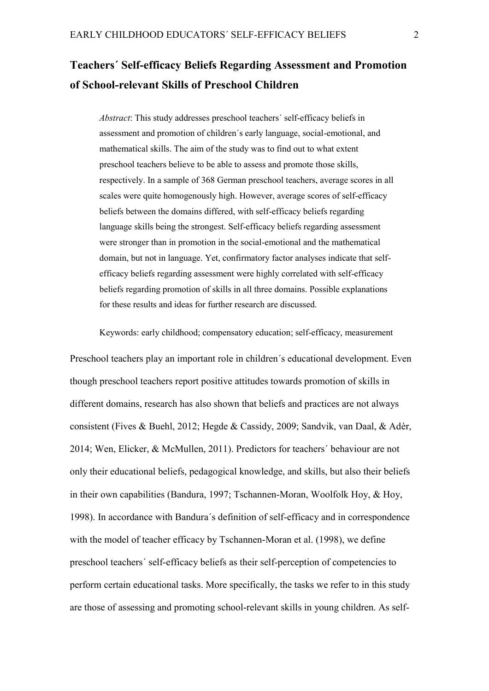# **Teachers´ Self-efficacy Beliefs Regarding Assessment and Promotion of School-relevant Skills of Preschool Children**

*Abstract*: This study addresses preschool teachers´ self-efficacy beliefs in assessment and promotion of children´s early language, social-emotional, and mathematical skills. The aim of the study was to find out to what extent preschool teachers believe to be able to assess and promote those skills, respectively. In a sample of 368 German preschool teachers, average scores in all scales were quite homogenously high. However, average scores of self-efficacy beliefs between the domains differed, with self-efficacy beliefs regarding language skills being the strongest. Self-efficacy beliefs regarding assessment were stronger than in promotion in the social-emotional and the mathematical domain, but not in language. Yet, confirmatory factor analyses indicate that selfefficacy beliefs regarding assessment were highly correlated with self-efficacy beliefs regarding promotion of skills in all three domains. Possible explanations for these results and ideas for further research are discussed.

Keywords: early childhood; compensatory education; self-efficacy, measurement

Preschool teachers play an important role in children´s educational development. Even though preschool teachers report positive attitudes towards promotion of skills in different domains, research has also shown that beliefs and practices are not always consistent (Fives & Buehl, 2012; Hegde & Cassidy, 2009; Sandvik, van Daal, & Adèr, 2014; Wen, Elicker, & McMullen, 2011). Predictors for teachers´ behaviour are not only their educational beliefs, pedagogical knowledge, and skills, but also their beliefs in their own capabilities (Bandura, 1997; Tschannen-Moran, Woolfolk Hoy, & Hoy, 1998). In accordance with Bandura´s definition of self-efficacy and in correspondence with the model of teacher efficacy by Tschannen-Moran et al. (1998), we define preschool teachers´ self-efficacy beliefs as their self-perception of competencies to perform certain educational tasks. More specifically, the tasks we refer to in this study are those of assessing and promoting school-relevant skills in young children. As self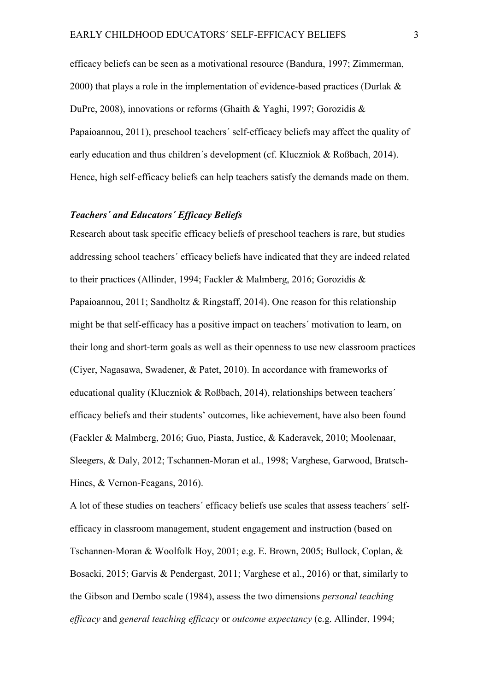efficacy beliefs can be seen as a motivational resource (Bandura, 1997; Zimmerman, 2000) that plays a role in the implementation of evidence-based practices (Durlak & DuPre, 2008), innovations or reforms (Ghaith & Yaghi, 1997; Gorozidis & Papaioannou, 2011), preschool teachers´ self-efficacy beliefs may affect the quality of early education and thus children's development (cf. Kluczniok & Roßbach, 2014). Hence, high self-efficacy beliefs can help teachers satisfy the demands made on them.

#### *Teachers´ and Educators´ Efficacy Beliefs*

Research about task specific efficacy beliefs of preschool teachers is rare, but studies addressing school teachers´ efficacy beliefs have indicated that they are indeed related to their practices (Allinder, 1994; Fackler & Malmberg, 2016; Gorozidis & Papaioannou, 2011; Sandholtz & Ringstaff, 2014). One reason for this relationship might be that self-efficacy has a positive impact on teachers´ motivation to learn, on their long and short-term goals as well as their openness to use new classroom practices (Ciyer, Nagasawa, Swadener, & Patet, 2010). In accordance with frameworks of educational quality (Kluczniok & Roßbach, 2014), relationships between teachers' efficacy beliefs and their students' outcomes, like achievement, have also been found (Fackler & Malmberg, 2016; Guo, Piasta, Justice, & Kaderavek, 2010; Moolenaar, Sleegers, & Daly, 2012; Tschannen-Moran et al., 1998; Varghese, Garwood, Bratsch-Hines, & Vernon-Feagans, 2016).

A lot of these studies on teachers´ efficacy beliefs use scales that assess teachers´ selfefficacy in classroom management, student engagement and instruction (based on Tschannen-Moran & Woolfolk Hoy, 2001; e.g. E. Brown, 2005; Bullock, Coplan, & Bosacki, 2015; Garvis & Pendergast, 2011; Varghese et al., 2016) or that, similarly to the Gibson and Dembo scale (1984), assess the two dimensions *personal teaching efficacy* and *general teaching efficacy* or *outcome expectancy* (e.g. Allinder, 1994;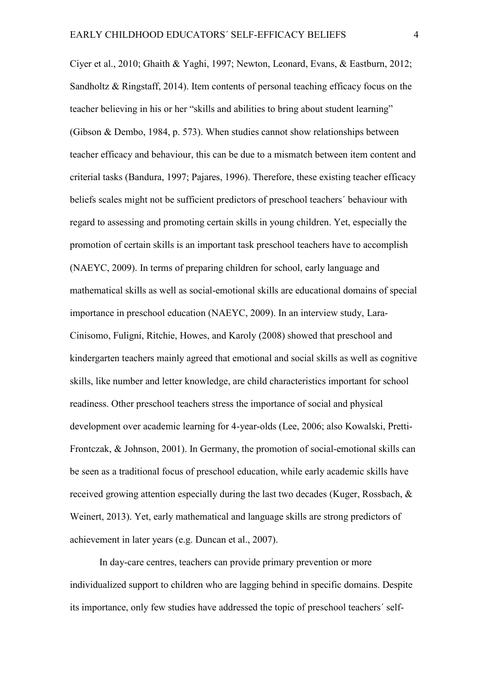Ciyer et al., 2010; Ghaith & Yaghi, 1997; Newton, Leonard, Evans, & Eastburn, 2012; Sandholtz & Ringstaff, 2014). Item contents of personal teaching efficacy focus on the teacher believing in his or her "skills and abilities to bring about student learning" (Gibson & Dembo, 1984, p. 573). When studies cannot show relationships between teacher efficacy and behaviour, this can be due to a mismatch between item content and criterial tasks (Bandura, 1997; Pajares, 1996). Therefore, these existing teacher efficacy beliefs scales might not be sufficient predictors of preschool teachers´ behaviour with regard to assessing and promoting certain skills in young children. Yet, especially the promotion of certain skills is an important task preschool teachers have to accomplish (NAEYC, 2009). In terms of preparing children for school, early language and mathematical skills as well as social-emotional skills are educational domains of special importance in preschool education (NAEYC, 2009). In an interview study, Lara-Cinisomo, Fuligni, Ritchie, Howes, and Karoly (2008) showed that preschool and kindergarten teachers mainly agreed that emotional and social skills as well as cognitive skills, like number and letter knowledge, are child characteristics important for school readiness. Other preschool teachers stress the importance of social and physical development over academic learning for 4-year-olds (Lee, 2006; also Kowalski, Pretti-Frontczak, & Johnson, 2001). In Germany, the promotion of social-emotional skills can be seen as a traditional focus of preschool education, while early academic skills have received growing attention especially during the last two decades (Kuger, Rossbach, & Weinert, 2013). Yet, early mathematical and language skills are strong predictors of achievement in later years (e.g. Duncan et al., 2007).

In day-care centres, teachers can provide primary prevention or more individualized support to children who are lagging behind in specific domains. Despite its importance, only few studies have addressed the topic of preschool teachers´ self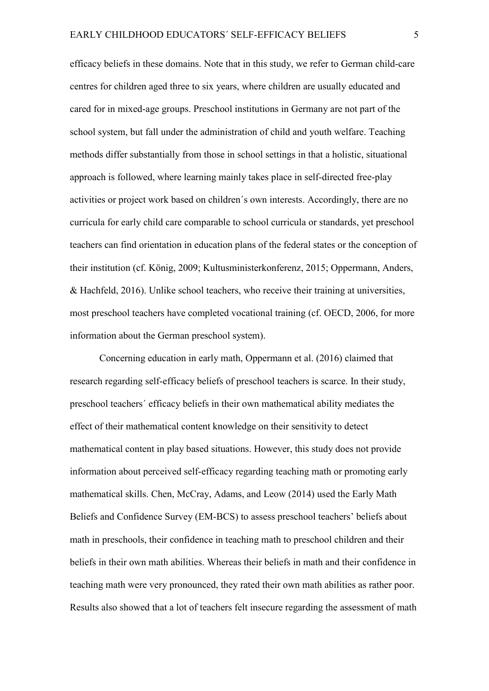efficacy beliefs in these domains. Note that in this study, we refer to German child-care centres for children aged three to six years, where children are usually educated and cared for in mixed-age groups. Preschool institutions in Germany are not part of the school system, but fall under the administration of child and youth welfare. Teaching methods differ substantially from those in school settings in that a holistic, situational approach is followed, where learning mainly takes place in self-directed free-play activities or project work based on children´s own interests. Accordingly, there are no curricula for early child care comparable to school curricula or standards, yet preschool teachers can find orientation in education plans of the federal states or the conception of their institution (cf. König, 2009; Kultusministerkonferenz, 2015; Oppermann, Anders, & Hachfeld, 2016). Unlike school teachers, who receive their training at universities, most preschool teachers have completed vocational training (cf. OECD, 2006, for more information about the German preschool system).

Concerning education in early math, Oppermann et al. (2016) claimed that research regarding self-efficacy beliefs of preschool teachers is scarce. In their study, preschool teachers´ efficacy beliefs in their own mathematical ability mediates the effect of their mathematical content knowledge on their sensitivity to detect mathematical content in play based situations. However, this study does not provide information about perceived self-efficacy regarding teaching math or promoting early mathematical skills. Chen, McCray, Adams, and Leow (2014) used the Early Math Beliefs and Confidence Survey (EM-BCS) to assess preschool teachers' beliefs about math in preschools, their confidence in teaching math to preschool children and their beliefs in their own math abilities. Whereas their beliefs in math and their confidence in teaching math were very pronounced, they rated their own math abilities as rather poor. Results also showed that a lot of teachers felt insecure regarding the assessment of math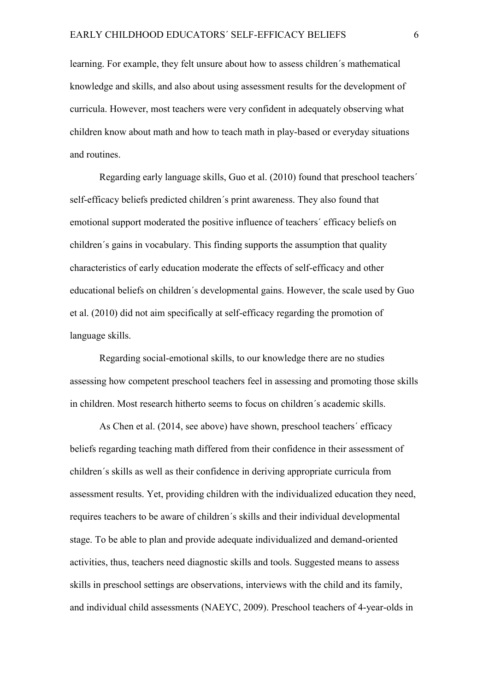learning. For example, they felt unsure about how to assess children´s mathematical knowledge and skills, and also about using assessment results for the development of curricula. However, most teachers were very confident in adequately observing what children know about math and how to teach math in play-based or everyday situations and routines.

Regarding early language skills, Guo et al. (2010) found that preschool teachers´ self-efficacy beliefs predicted children´s print awareness. They also found that emotional support moderated the positive influence of teachers´ efficacy beliefs on children´s gains in vocabulary. This finding supports the assumption that quality characteristics of early education moderate the effects of self-efficacy and other educational beliefs on children´s developmental gains. However, the scale used by Guo et al. (2010) did not aim specifically at self-efficacy regarding the promotion of language skills.

Regarding social-emotional skills, to our knowledge there are no studies assessing how competent preschool teachers feel in assessing and promoting those skills in children. Most research hitherto seems to focus on children´s academic skills.

As Chen et al. (2014, see above) have shown, preschool teachers´ efficacy beliefs regarding teaching math differed from their confidence in their assessment of children´s skills as well as their confidence in deriving appropriate curricula from assessment results. Yet, providing children with the individualized education they need, requires teachers to be aware of children´s skills and their individual developmental stage. To be able to plan and provide adequate individualized and demand-oriented activities, thus, teachers need diagnostic skills and tools. Suggested means to assess skills in preschool settings are observations, interviews with the child and its family, and individual child assessments (NAEYC, 2009). Preschool teachers of 4-year-olds in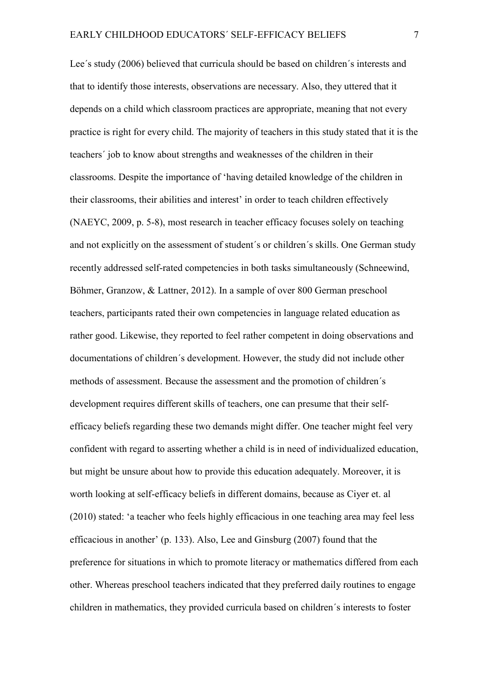Lee´s study (2006) believed that curricula should be based on children´s interests and that to identify those interests, observations are necessary. Also, they uttered that it depends on a child which classroom practices are appropriate, meaning that not every practice is right for every child. The majority of teachers in this study stated that it is the teachers´ job to know about strengths and weaknesses of the children in their classrooms. Despite the importance of 'having detailed knowledge of the children in their classrooms, their abilities and interest' in order to teach children effectively (NAEYC, 2009, p. 5-8), most research in teacher efficacy focuses solely on teaching and not explicitly on the assessment of student´s or children´s skills. One German study recently addressed self-rated competencies in both tasks simultaneously (Schneewind, Böhmer, Granzow, & Lattner, 2012). In a sample of over 800 German preschool teachers, participants rated their own competencies in language related education as rather good. Likewise, they reported to feel rather competent in doing observations and documentations of children´s development. However, the study did not include other methods of assessment. Because the assessment and the promotion of children´s development requires different skills of teachers, one can presume that their selfefficacy beliefs regarding these two demands might differ. One teacher might feel very confident with regard to asserting whether a child is in need of individualized education, but might be unsure about how to provide this education adequately. Moreover, it is worth looking at self-efficacy beliefs in different domains, because as Ciyer et. al (2010) stated: 'a teacher who feels highly efficacious in one teaching area may feel less efficacious in another' (p. 133). Also, Lee and Ginsburg (2007) found that the preference for situations in which to promote literacy or mathematics differed from each other. Whereas preschool teachers indicated that they preferred daily routines to engage children in mathematics, they provided curricula based on children´s interests to foster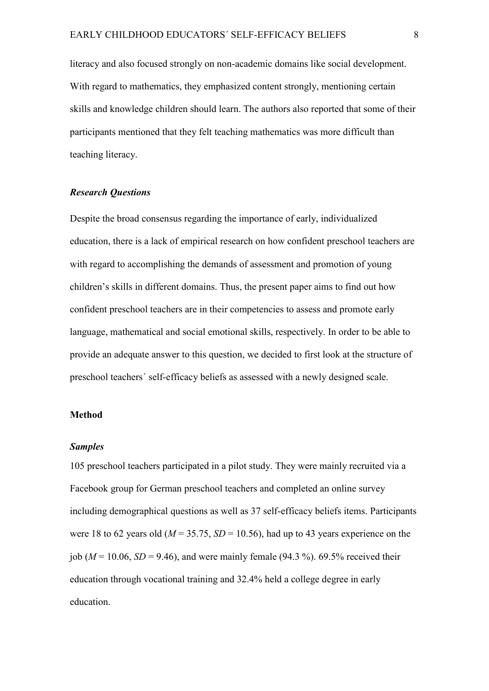literacy and also focused strongly on non-academic domains like social development. With regard to mathematics, they emphasized content strongly, mentioning certain skills and knowledge children should learn. The authors also reported that some of their participants mentioned that they felt teaching mathematics was more difficult than teaching literacy.

#### *Research Questions*

Despite the broad consensus regarding the importance of early, individualized education, there is a lack of empirical research on how confident preschool teachers are with regard to accomplishing the demands of assessment and promotion of young children's skills in different domains. Thus, the present paper aims to find out how confident preschool teachers are in their competencies to assess and promote early language, mathematical and social emotional skills, respectively. In order to be able to provide an adequate answer to this question, we decided to first look at the structure of preschool teachers´ self-efficacy beliefs as assessed with a newly designed scale.

#### **Method**

#### *Samples*

105 preschool teachers participated in a pilot study. They were mainly recruited via a Facebook group for German preschool teachers and completed an online survey including demographical questions as well as 37 self-efficacy beliefs items. Participants were 18 to 62 years old ( $M = 35.75$ ,  $SD = 10.56$ ), had up to 43 years experience on the job ( $M = 10.06$ ,  $SD = 9.46$ ), and were mainly female (94.3 %). 69.5% received their education through vocational training and 32.4% held a college degree in early education.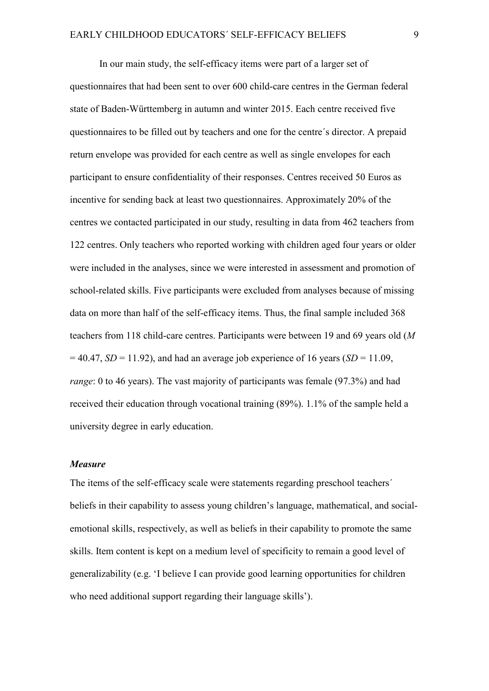In our main study, the self-efficacy items were part of a larger set of questionnaires that had been sent to over 600 child-care centres in the German federal state of Baden-Württemberg in autumn and winter 2015. Each centre received five questionnaires to be filled out by teachers and one for the centre´s director. A prepaid return envelope was provided for each centre as well as single envelopes for each participant to ensure confidentiality of their responses. Centres received 50 Euros as incentive for sending back at least two questionnaires. Approximately 20% of the centres we contacted participated in our study, resulting in data from 462 teachers from 122 centres. Only teachers who reported working with children aged four years or older were included in the analyses, since we were interested in assessment and promotion of school-related skills. Five participants were excluded from analyses because of missing data on more than half of the self-efficacy items. Thus, the final sample included 368 teachers from 118 child-care centres. Participants were between 19 and 69 years old (*M*  $= 40.47$ , *SD* = 11.92), and had an average job experience of 16 years (*SD* = 11.09, *range*: 0 to 46 years). The vast majority of participants was female (97.3%) and had received their education through vocational training (89%). 1.1% of the sample held a university degree in early education.

#### *Measure*

The items of the self-efficacy scale were statements regarding preschool teachers´ beliefs in their capability to assess young children's language, mathematical, and socialemotional skills, respectively, as well as beliefs in their capability to promote the same skills. Item content is kept on a medium level of specificity to remain a good level of generalizability (e.g. 'I believe I can provide good learning opportunities for children who need additional support regarding their language skills').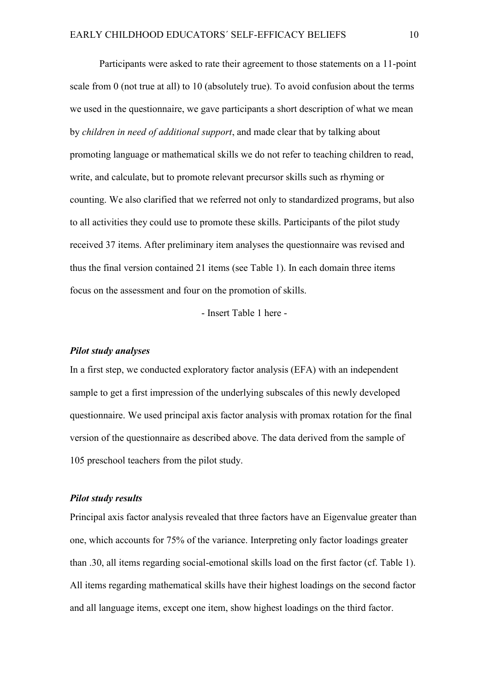Participants were asked to rate their agreement to those statements on a 11-point scale from 0 (not true at all) to 10 (absolutely true). To avoid confusion about the terms we used in the questionnaire, we gave participants a short description of what we mean by *children in need of additional support*, and made clear that by talking about promoting language or mathematical skills we do not refer to teaching children to read, write, and calculate, but to promote relevant precursor skills such as rhyming or counting. We also clarified that we referred not only to standardized programs, but also to all activities they could use to promote these skills. Participants of the pilot study received 37 items. After preliminary item analyses the questionnaire was revised and thus the final version contained 21 items (see Table 1). In each domain three items focus on the assessment and four on the promotion of skills.

- Insert Table 1 here -

#### *Pilot study analyses*

In a first step, we conducted exploratory factor analysis (EFA) with an independent sample to get a first impression of the underlying subscales of this newly developed questionnaire. We used principal axis factor analysis with promax rotation for the final version of the questionnaire as described above. The data derived from the sample of 105 preschool teachers from the pilot study.

#### *Pilot study results*

Principal axis factor analysis revealed that three factors have an Eigenvalue greater than one, which accounts for 75% of the variance. Interpreting only factor loadings greater than .30, all items regarding social-emotional skills load on the first factor (cf. Table 1). All items regarding mathematical skills have their highest loadings on the second factor and all language items, except one item, show highest loadings on the third factor.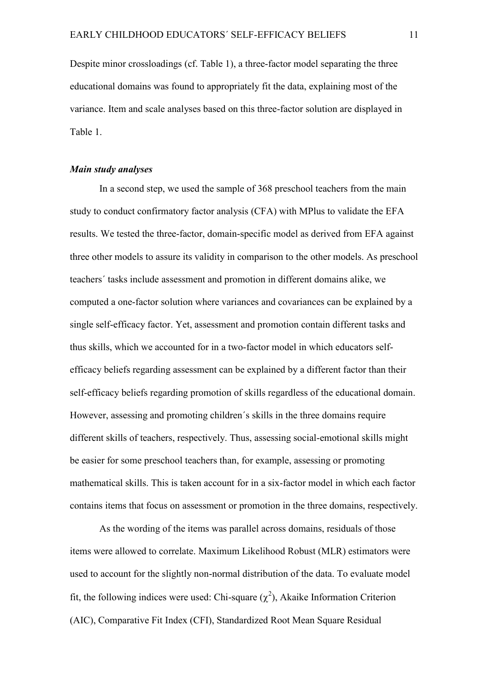Despite minor crossloadings (cf. Table 1), a three-factor model separating the three educational domains was found to appropriately fit the data, explaining most of the variance. Item and scale analyses based on this three-factor solution are displayed in Table 1.

#### *Main study analyses*

In a second step, we used the sample of 368 preschool teachers from the main study to conduct confirmatory factor analysis (CFA) with MPlus to validate the EFA results. We tested the three-factor, domain-specific model as derived from EFA against three other models to assure its validity in comparison to the other models. As preschool teachers´ tasks include assessment and promotion in different domains alike, we computed a one-factor solution where variances and covariances can be explained by a single self-efficacy factor. Yet, assessment and promotion contain different tasks and thus skills, which we accounted for in a two-factor model in which educators selfefficacy beliefs regarding assessment can be explained by a different factor than their self-efficacy beliefs regarding promotion of skills regardless of the educational domain. However, assessing and promoting children´s skills in the three domains require different skills of teachers, respectively. Thus, assessing social-emotional skills might be easier for some preschool teachers than, for example, assessing or promoting mathematical skills. This is taken account for in a six-factor model in which each factor contains items that focus on assessment or promotion in the three domains, respectively.

As the wording of the items was parallel across domains, residuals of those items were allowed to correlate. Maximum Likelihood Robust (MLR) estimators were used to account for the slightly non-normal distribution of the data. To evaluate model fit, the following indices were used: Chi-square  $(\chi^2)$ , Akaike Information Criterion (AIC), Comparative Fit Index (CFI), Standardized Root Mean Square Residual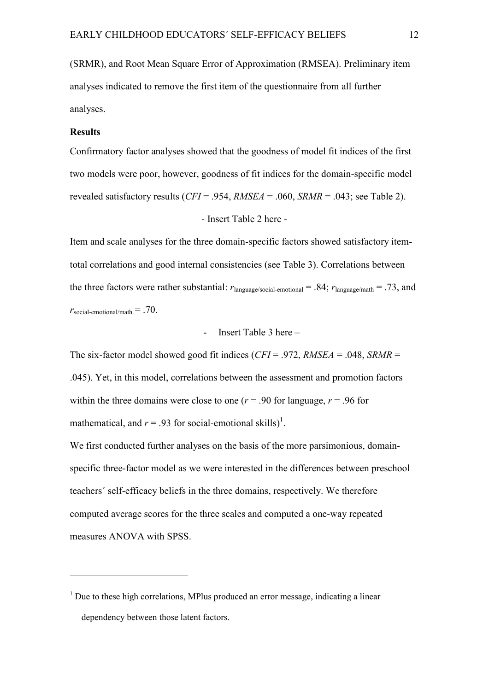(SRMR), and Root Mean Square Error of Approximation (RMSEA). Preliminary item analyses indicated to remove the first item of the questionnaire from all further analyses.

#### **Results**

-

Confirmatory factor analyses showed that the goodness of model fit indices of the first two models were poor, however, goodness of fit indices for the domain-specific model revealed satisfactory results (*CFI* = .954, *RMSEA* = .060, *SRMR* = .043; see Table 2).

#### - Insert Table 2 here -

Item and scale analyses for the three domain-specific factors showed satisfactory itemtotal correlations and good internal consistencies (see Table 3). Correlations between the three factors were rather substantial:  $r_{\text{language/social-emotional}} = .84$ ;  $r_{\text{language/math}} = .73$ , and  $r_{\text{social-emotional/math}} = .70$ .

#### - Insert Table 3 here –

The six-factor model showed good fit indices (*CFI* = .972, *RMSEA* = .048, *SRMR* = .045). Yet, in this model, correlations between the assessment and promotion factors within the three domains were close to one  $(r = .90$  for language,  $r = .96$  for mathematical, and  $r = .93$  for social-emotional skills)<sup>1</sup>.

We first conducted further analyses on the basis of the more parsimonious, domainspecific three-factor model as we were interested in the differences between preschool teachers´ self-efficacy beliefs in the three domains, respectively. We therefore computed average scores for the three scales and computed a one-way repeated measures ANOVA with SPSS.

 $<sup>1</sup>$  Due to these high correlations, MPlus produced an error message, indicating a linear</sup> dependency between those latent factors.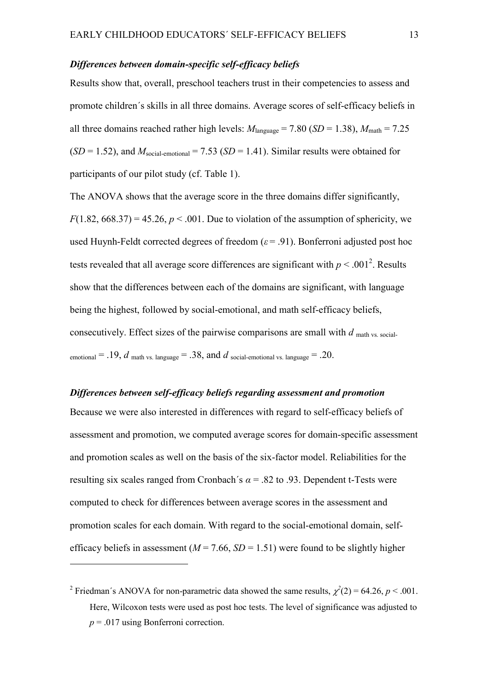#### *Differences between domain-specific self-efficacy beliefs*

Results show that, overall, preschool teachers trust in their competencies to assess and promote children´s skills in all three domains. Average scores of self-efficacy beliefs in all three domains reached rather high levels:  $M_{\text{language}} = 7.80$  (*SD* = 1.38),  $M_{\text{math}} = 7.25$  $(SD = 1.52)$ , and  $M_{social-emotional} = 7.53$   $(SD = 1.41)$ . Similar results were obtained for participants of our pilot study (cf. Table 1).

The ANOVA shows that the average score in the three domains differ significantly,  $F(1.82, 668.37) = 45.26, p < .001$ . Due to violation of the assumption of sphericity, we used Huynh-Feldt corrected degrees of freedom  $(\varepsilon = .91)$ . Bonferroni adjusted post hoc tests revealed that all average score differences are significant with  $p < .001^2$ . Results show that the differences between each of the domains are significant, with language being the highest, followed by social-emotional, and math self-efficacy beliefs, consecutively. Effect sizes of the pairwise comparisons are small with *d* math vs. socialemotional  $= .19$ , *d* math vs. language  $= .38$ , and *d* social-emotional vs. language  $= .20$ .

## *Differences between self-efficacy beliefs regarding assessment and promotion*

Because we were also interested in differences with regard to self-efficacy beliefs of assessment and promotion, we computed average scores for domain-specific assessment and promotion scales as well on the basis of the six-factor model. Reliabilities for the resulting six scales ranged from Cronbach´s  $\alpha$  = .82 to .93. Dependent t-Tests were computed to check for differences between average scores in the assessment and promotion scales for each domain. With regard to the social-emotional domain, selfefficacy beliefs in assessment ( $M = 7.66$ ,  $SD = 1.51$ ) were found to be slightly higher

-

<sup>&</sup>lt;sup>2</sup> Friedman's ANOVA for non-parametric data showed the same results,  $\chi^2(2) = 64.26$ ,  $p < .001$ . Here, Wilcoxon tests were used as post hoc tests. The level of significance was adjusted to *p* = .017 using Bonferroni correction.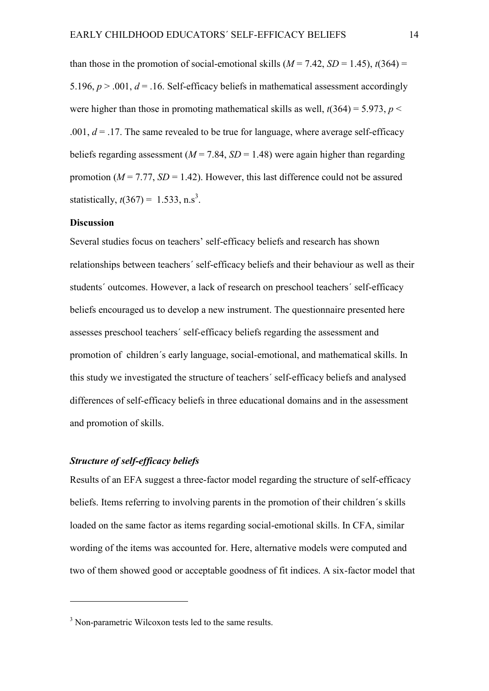than those in the promotion of social-emotional skills  $(M = 7.42, SD = 1.45)$ ,  $t(364) =$ 5.196,  $p > .001$ ,  $d = .16$ . Self-efficacy beliefs in mathematical assessment accordingly were higher than those in promoting mathematical skills as well,  $t(364) = 5.973$ ,  $p <$ .001,  $d = 0.17$ . The same revealed to be true for language, where average self-efficacy beliefs regarding assessment  $(M = 7.84, SD = 1.48)$  were again higher than regarding promotion  $(M = 7.77, SD = 1.42)$ . However, this last difference could not be assured statistically,  $t(367) = 1.533$ , n.s<sup>3</sup>.

#### **Discussion**

Several studies focus on teachers' self-efficacy beliefs and research has shown relationships between teachers´ self-efficacy beliefs and their behaviour as well as their students´ outcomes. However, a lack of research on preschool teachers´ self-efficacy beliefs encouraged us to develop a new instrument. The questionnaire presented here assesses preschool teachers´ self-efficacy beliefs regarding the assessment and promotion of children´s early language, social-emotional, and mathematical skills. In this study we investigated the structure of teachers´ self-efficacy beliefs and analysed differences of self-efficacy beliefs in three educational domains and in the assessment and promotion of skills.

#### *Structure of self-efficacy beliefs*

-

Results of an EFA suggest a three-factor model regarding the structure of self-efficacy beliefs. Items referring to involving parents in the promotion of their children´s skills loaded on the same factor as items regarding social-emotional skills. In CFA, similar wording of the items was accounted for. Here, alternative models were computed and two of them showed good or acceptable goodness of fit indices. A six-factor model that

<sup>&</sup>lt;sup>3</sup> Non-parametric Wilcoxon tests led to the same results.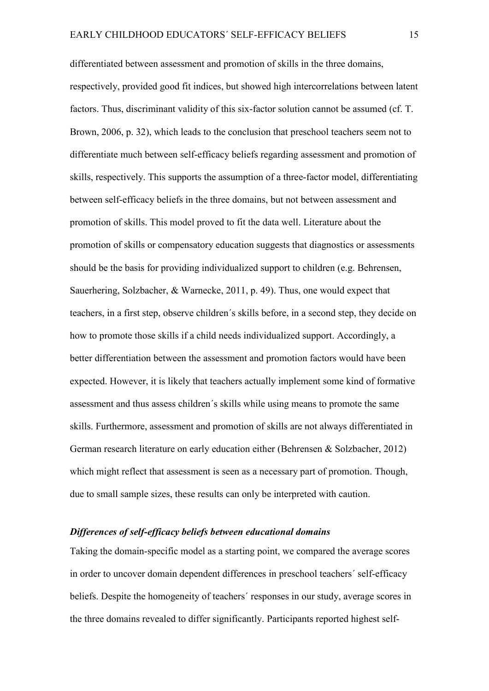differentiated between assessment and promotion of skills in the three domains, respectively, provided good fit indices, but showed high intercorrelations between latent factors. Thus, discriminant validity of this six-factor solution cannot be assumed (cf. T. Brown, 2006, p. 32), which leads to the conclusion that preschool teachers seem not to differentiate much between self-efficacy beliefs regarding assessment and promotion of skills, respectively. This supports the assumption of a three-factor model, differentiating between self-efficacy beliefs in the three domains, but not between assessment and promotion of skills. This model proved to fit the data well. Literature about the promotion of skills or compensatory education suggests that diagnostics or assessments should be the basis for providing individualized support to children (e.g. Behrensen, Sauerhering, Solzbacher, & Warnecke, 2011, p. 49). Thus, one would expect that teachers, in a first step, observe children´s skills before, in a second step, they decide on how to promote those skills if a child needs individualized support. Accordingly, a better differentiation between the assessment and promotion factors would have been expected. However, it is likely that teachers actually implement some kind of formative assessment and thus assess children´s skills while using means to promote the same skills. Furthermore, assessment and promotion of skills are not always differentiated in German research literature on early education either (Behrensen & Solzbacher, 2012) which might reflect that assessment is seen as a necessary part of promotion. Though, due to small sample sizes, these results can only be interpreted with caution.

#### *Differences of self-efficacy beliefs between educational domains*

Taking the domain-specific model as a starting point, we compared the average scores in order to uncover domain dependent differences in preschool teachers´ self-efficacy beliefs. Despite the homogeneity of teachers´ responses in our study, average scores in the three domains revealed to differ significantly. Participants reported highest self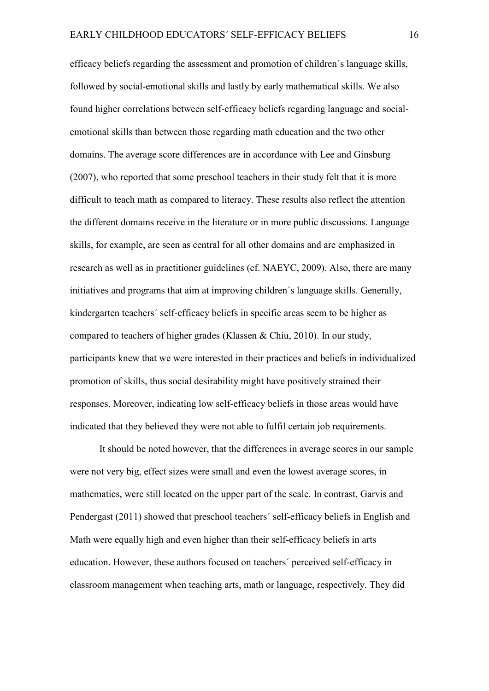efficacy beliefs regarding the assessment and promotion of children´s language skills, followed by social-emotional skills and lastly by early mathematical skills. We also found higher correlations between self-efficacy beliefs regarding language and socialemotional skills than between those regarding math education and the two other domains. The average score differences are in accordance with Lee and Ginsburg (2007), who reported that some preschool teachers in their study felt that it is more difficult to teach math as compared to literacy. These results also reflect the attention the different domains receive in the literature or in more public discussions. Language skills, for example, are seen as central for all other domains and are emphasized in research as well as in practitioner guidelines (cf. NAEYC, 2009). Also, there are many initiatives and programs that aim at improving children´s language skills. Generally, kindergarten teachers´ self-efficacy beliefs in specific areas seem to be higher as compared to teachers of higher grades (Klassen & Chiu, 2010). In our study, participants knew that we were interested in their practices and beliefs in individualized promotion of skills, thus social desirability might have positively strained their responses. Moreover, indicating low self-efficacy beliefs in those areas would have indicated that they believed they were not able to fulfil certain job requirements.

It should be noted however, that the differences in average scores in our sample were not very big, effect sizes were small and even the lowest average scores, in mathematics, were still located on the upper part of the scale. In contrast, Garvis and Pendergast (2011) showed that preschool teachers´ self-efficacy beliefs in English and Math were equally high and even higher than their self-efficacy beliefs in arts education. However, these authors focused on teachers´ perceived self-efficacy in classroom management when teaching arts, math or language, respectively. They did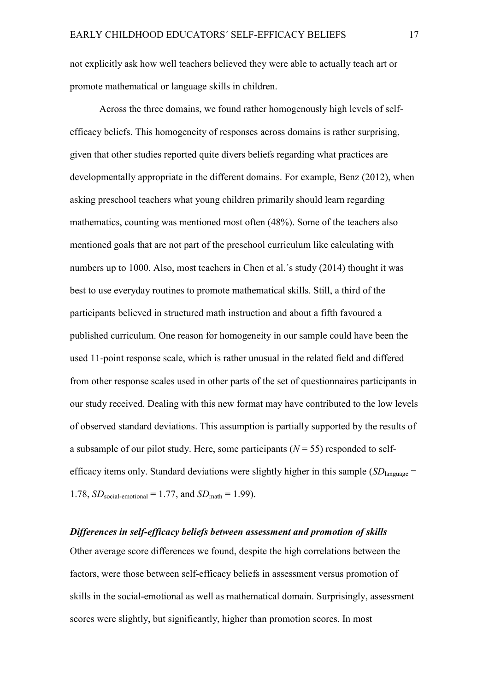not explicitly ask how well teachers believed they were able to actually teach art or promote mathematical or language skills in children.

Across the three domains, we found rather homogenously high levels of selfefficacy beliefs. This homogeneity of responses across domains is rather surprising, given that other studies reported quite divers beliefs regarding what practices are developmentally appropriate in the different domains. For example, Benz (2012), when asking preschool teachers what young children primarily should learn regarding mathematics, counting was mentioned most often (48%). Some of the teachers also mentioned goals that are not part of the preschool curriculum like calculating with numbers up to 1000. Also, most teachers in Chen et al.´s study (2014) thought it was best to use everyday routines to promote mathematical skills. Still, a third of the participants believed in structured math instruction and about a fifth favoured a published curriculum. One reason for homogeneity in our sample could have been the used 11-point response scale, which is rather unusual in the related field and differed from other response scales used in other parts of the set of questionnaires participants in our study received. Dealing with this new format may have contributed to the low levels of observed standard deviations. This assumption is partially supported by the results of a subsample of our pilot study. Here, some participants  $(N = 55)$  responded to selfefficacy items only. Standard deviations were slightly higher in this sample  $(SD<sub>language</sub> =$ 1.78,  $SD_{social\text{-}emotional} = 1.77$ , and  $SD_{math} = 1.99$ ).

#### *Differences in self-efficacy beliefs between assessment and promotion of skills*

Other average score differences we found, despite the high correlations between the factors, were those between self-efficacy beliefs in assessment versus promotion of skills in the social-emotional as well as mathematical domain. Surprisingly, assessment scores were slightly, but significantly, higher than promotion scores. In most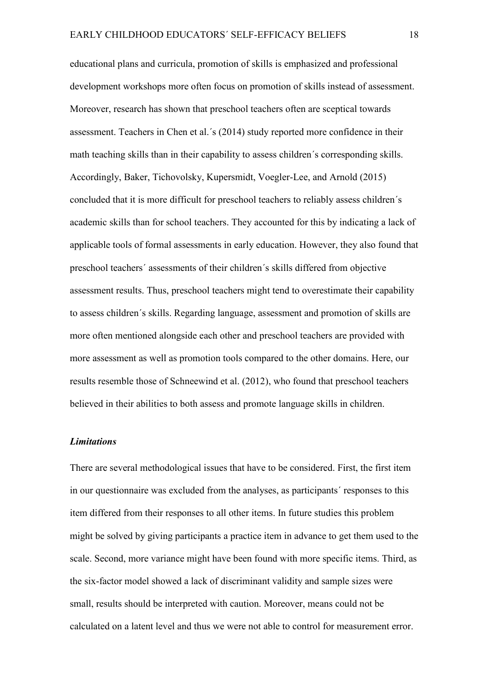educational plans and curricula, promotion of skills is emphasized and professional development workshops more often focus on promotion of skills instead of assessment. Moreover, research has shown that preschool teachers often are sceptical towards assessment. Teachers in Chen et al.´s (2014) study reported more confidence in their math teaching skills than in their capability to assess children´s corresponding skills. Accordingly, Baker, Tichovolsky, Kupersmidt, Voegler-Lee, and Arnold (2015) concluded that it is more difficult for preschool teachers to reliably assess children´s academic skills than for school teachers. They accounted for this by indicating a lack of applicable tools of formal assessments in early education. However, they also found that preschool teachers´ assessments of their children´s skills differed from objective assessment results. Thus, preschool teachers might tend to overestimate their capability to assess children´s skills. Regarding language, assessment and promotion of skills are more often mentioned alongside each other and preschool teachers are provided with more assessment as well as promotion tools compared to the other domains. Here, our results resemble those of Schneewind et al. (2012), who found that preschool teachers believed in their abilities to both assess and promote language skills in children.

#### *Limitations*

There are several methodological issues that have to be considered. First, the first item in our questionnaire was excluded from the analyses, as participants´ responses to this item differed from their responses to all other items. In future studies this problem might be solved by giving participants a practice item in advance to get them used to the scale. Second, more variance might have been found with more specific items. Third, as the six-factor model showed a lack of discriminant validity and sample sizes were small, results should be interpreted with caution. Moreover, means could not be calculated on a latent level and thus we were not able to control for measurement error.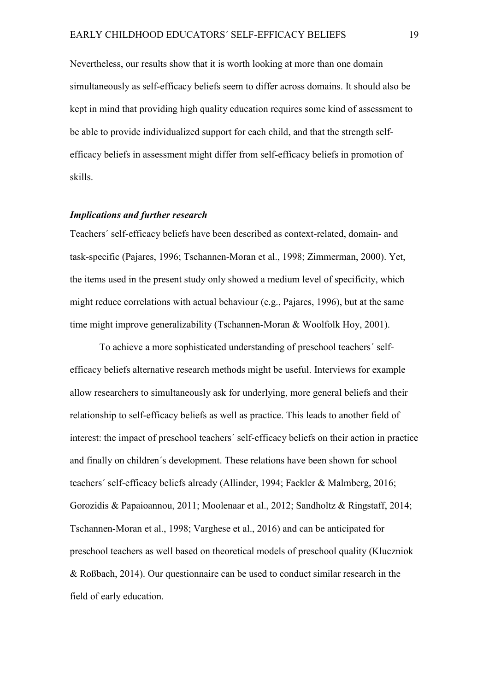Nevertheless, our results show that it is worth looking at more than one domain simultaneously as self-efficacy beliefs seem to differ across domains. It should also be kept in mind that providing high quality education requires some kind of assessment to be able to provide individualized support for each child, and that the strength selfefficacy beliefs in assessment might differ from self-efficacy beliefs in promotion of skills.

#### *Implications and further research*

Teachers´ self-efficacy beliefs have been described as context-related, domain- and task-specific (Pajares, 1996; Tschannen-Moran et al., 1998; Zimmerman, 2000). Yet, the items used in the present study only showed a medium level of specificity, which might reduce correlations with actual behaviour (e.g., Pajares, 1996), but at the same time might improve generalizability (Tschannen-Moran & Woolfolk Hoy, 2001).

To achieve a more sophisticated understanding of preschool teachers´ selfefficacy beliefs alternative research methods might be useful. Interviews for example allow researchers to simultaneously ask for underlying, more general beliefs and their relationship to self-efficacy beliefs as well as practice. This leads to another field of interest: the impact of preschool teachers´ self-efficacy beliefs on their action in practice and finally on children´s development. These relations have been shown for school teachers´ self-efficacy beliefs already (Allinder, 1994; Fackler & Malmberg, 2016; Gorozidis & Papaioannou, 2011; Moolenaar et al., 2012; Sandholtz & Ringstaff, 2014; Tschannen-Moran et al., 1998; Varghese et al., 2016) and can be anticipated for preschool teachers as well based on theoretical models of preschool quality (Kluczniok & Roßbach, 2014). Our questionnaire can be used to conduct similar research in the field of early education.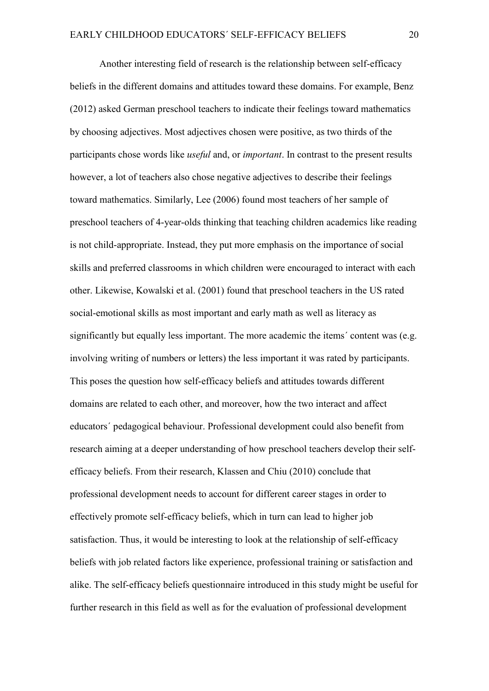Another interesting field of research is the relationship between self-efficacy beliefs in the different domains and attitudes toward these domains. For example, Benz (2012) asked German preschool teachers to indicate their feelings toward mathematics by choosing adjectives. Most adjectives chosen were positive, as two thirds of the participants chose words like *useful* and, or *important*. In contrast to the present results however, a lot of teachers also chose negative adjectives to describe their feelings toward mathematics. Similarly, Lee (2006) found most teachers of her sample of preschool teachers of 4-year-olds thinking that teaching children academics like reading is not child-appropriate. Instead, they put more emphasis on the importance of social skills and preferred classrooms in which children were encouraged to interact with each other. Likewise, Kowalski et al. (2001) found that preschool teachers in the US rated social-emotional skills as most important and early math as well as literacy as significantly but equally less important. The more academic the items´ content was (e.g. involving writing of numbers or letters) the less important it was rated by participants. This poses the question how self-efficacy beliefs and attitudes towards different domains are related to each other, and moreover, how the two interact and affect educators´ pedagogical behaviour. Professional development could also benefit from research aiming at a deeper understanding of how preschool teachers develop their selfefficacy beliefs. From their research, Klassen and Chiu (2010) conclude that professional development needs to account for different career stages in order to effectively promote self-efficacy beliefs, which in turn can lead to higher job satisfaction. Thus, it would be interesting to look at the relationship of self-efficacy beliefs with job related factors like experience, professional training or satisfaction and alike. The self-efficacy beliefs questionnaire introduced in this study might be useful for further research in this field as well as for the evaluation of professional development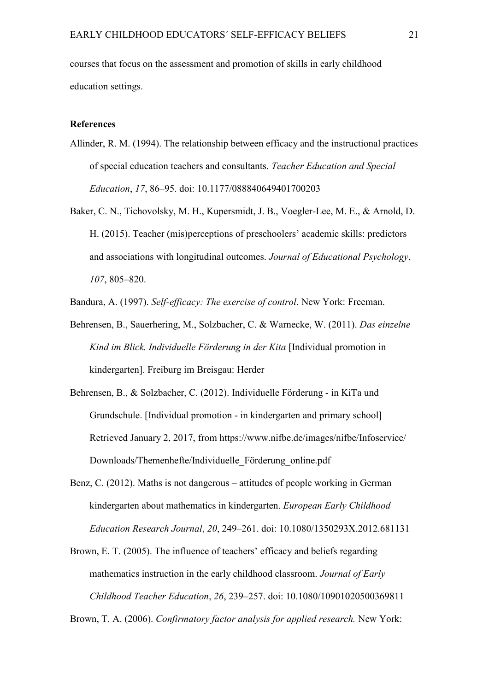courses that focus on the assessment and promotion of skills in early childhood education settings.

## **References**

- Allinder, R. M. (1994). The relationship between efficacy and the instructional practices of special education teachers and consultants. *Teacher Education and Special Education*, *17*, 86–95. doi: 10.1177/088840649401700203
- Baker, C. N., Tichovolsky, M. H., Kupersmidt, J. B., Voegler-Lee, M. E., & Arnold, D. H. (2015). Teacher (mis)perceptions of preschoolers' academic skills: predictors and associations with longitudinal outcomes. *Journal of Educational Psychology*, *107*, 805–820.

Bandura, A. (1997). *Self-efficacy: The exercise of control*. New York: Freeman.

- Behrensen, B., Sauerhering, M., Solzbacher, C. & Warnecke, W. (2011). *Das einzelne Kind im Blick. Individuelle Förderung in der Kita* [Individual promotion in kindergarten]. Freiburg im Breisgau: Herder
- Behrensen, B., & Solzbacher, C. (2012). Individuelle Förderung in KiTa und Grundschule. [Individual promotion - in kindergarten and primary school] Retrieved January 2, 2017, from https://www.nifbe.de/images/nifbe/Infoservice/ Downloads/Themenhefte/Individuelle\_Förderung\_online.pdf
- Benz, C. (2012). Maths is not dangerous attitudes of people working in German kindergarten about mathematics in kindergarten. *European Early Childhood Education Research Journal*, *20*, 249–261. doi: 10.1080/1350293X.2012.681131
- Brown, E. T. (2005). The influence of teachers' efficacy and beliefs regarding mathematics instruction in the early childhood classroom. *Journal of Early Childhood Teacher Education*, *26*, 239–257. doi: 10.1080/10901020500369811

Brown, T. A. (2006). *Confirmatory factor analysis for applied research.* New York: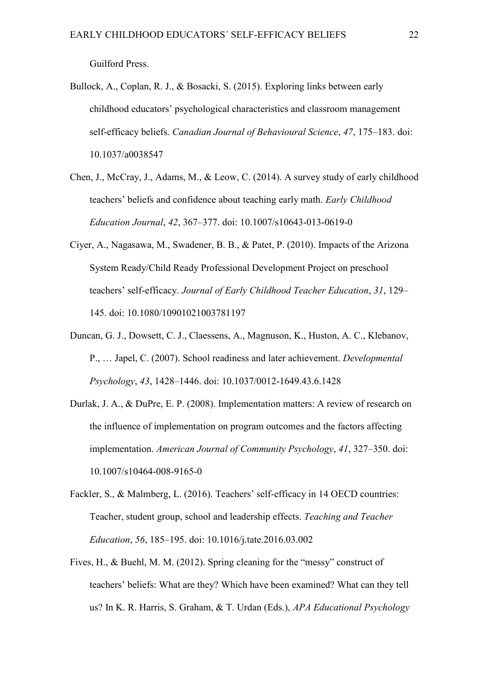Guilford Press.

- Bullock, A., Coplan, R. J., & Bosacki, S. (2015). Exploring links between early childhood educators' psychological characteristics and classroom management self-efficacy beliefs. *Canadian Journal of Behavioural Science*, *47*, 175–183. doi: 10.1037/a0038547
- Chen, J., McCray, J., Adams, M., & Leow, C. (2014). A survey study of early childhood teachers' beliefs and confidence about teaching early math. *Early Childhood Education Journal*, *42*, 367–377. doi: 10.1007/s10643-013-0619-0
- Ciyer, A., Nagasawa, M., Swadener, B. B., & Patet, P. (2010). Impacts of the Arizona System Ready/Child Ready Professional Development Project on preschool teachers' self-efficacy. *Journal of Early Childhood Teacher Education*, *31*, 129– 145. doi: 10.1080/10901021003781197
- Duncan, G. J., Dowsett, C. J., Claessens, A., Magnuson, K., Huston, A. C., Klebanov, P., … Japel, C. (2007). School readiness and later achievement. *Developmental Psychology*, *43*, 1428–1446. doi: 10.1037/0012-1649.43.6.1428
- Durlak, J. A., & DuPre, E. P. (2008). Implementation matters: A review of research on the influence of implementation on program outcomes and the factors affecting implementation. *American Journal of Community Psychology*, *41*, 327–350. doi: 10.1007/s10464-008-9165-0
- Fackler, S., & Malmberg, L. (2016). Teachers' self-efficacy in 14 OECD countries: Teacher, student group, school and leadership effects. *Teaching and Teacher Education*, *56*, 185–195. doi: 10.1016/j.tate.2016.03.002
- Fives, H., & Buehl, M. M. (2012). Spring cleaning for the "messy" construct of teachers' beliefs: What are they? Which have been examined? What can they tell us? In K. R. Harris, S. Graham, & T. Urdan (Eds.), *APA Educational Psychology*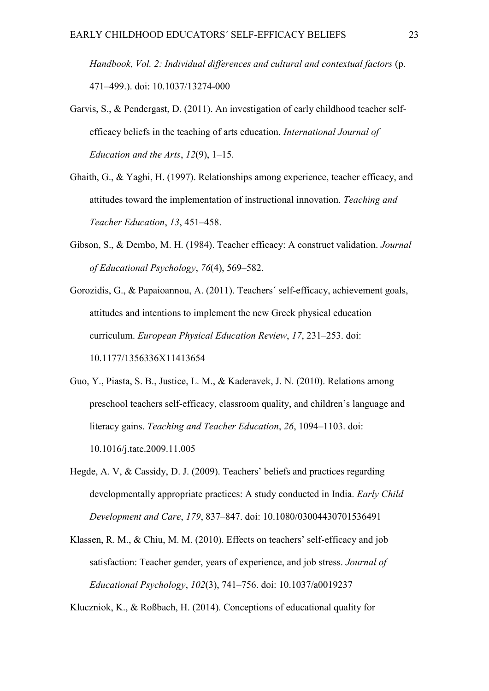*Handbook, Vol. 2: Individual differences and cultural and contextual factors* (p. 471–499.). doi: 10.1037/13274-000

- Garvis, S., & Pendergast, D. (2011). An investigation of early childhood teacher selfefficacy beliefs in the teaching of arts education. *International Journal of Education and the Arts*, *12*(9), 1–15.
- Ghaith, G., & Yaghi, H. (1997). Relationships among experience, teacher efficacy, and attitudes toward the implementation of instructional innovation. *Teaching and Teacher Education*, *13*, 451–458.
- Gibson, S., & Dembo, M. H. (1984). Teacher efficacy: A construct validation. *Journal of Educational Psychology*, *76*(4), 569–582.
- Gorozidis, G., & Papaioannou, A. (2011). Teachers´ self-efficacy, achievement goals, attitudes and intentions to implement the new Greek physical education curriculum. *European Physical Education Review*, *17*, 231–253. doi: 10.1177/1356336X11413654
- Guo, Y., Piasta, S. B., Justice, L. M., & Kaderavek, J. N. (2010). Relations among preschool teachers self-efficacy, classroom quality, and children's language and literacy gains. *Teaching and Teacher Education*, *26*, 1094–1103. doi: 10.1016/j.tate.2009.11.005
- Hegde, A. V, & Cassidy, D. J. (2009). Teachers' beliefs and practices regarding developmentally appropriate practices: A study conducted in India. *Early Child Development and Care*, *179*, 837–847. doi: 10.1080/03004430701536491
- Klassen, R. M., & Chiu, M. M. (2010). Effects on teachers' self-efficacy and job satisfaction: Teacher gender, years of experience, and job stress. *Journal of Educational Psychology*, *102*(3), 741–756. doi: 10.1037/a0019237

Kluczniok, K., & Roßbach, H. (2014). Conceptions of educational quality for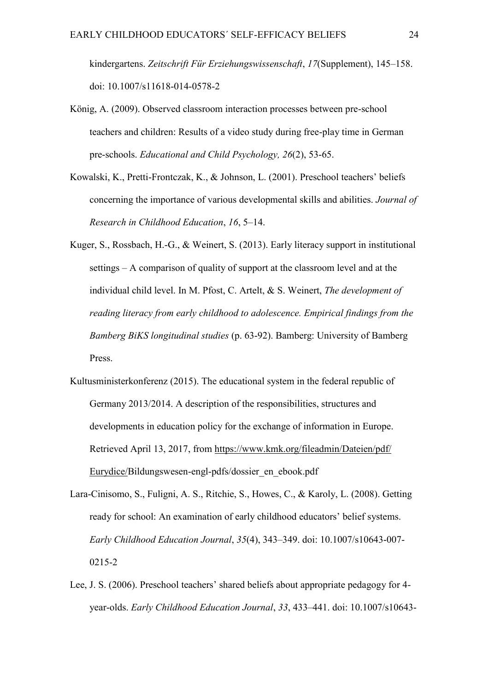kindergartens. *Zeitschrift Für Erziehungswissenschaft*, *17*(Supplement), 145–158. doi: 10.1007/s11618-014-0578-2

- König, A. (2009). Observed classroom interaction processes between pre-school teachers and children: Results of a video study during free-play time in German pre-schools. *Educational and Child Psychology, 26*(2), 53-65.
- Kowalski, K., Pretti-Frontczak, K., & Johnson, L. (2001). Preschool teachers' beliefs concerning the importance of various developmental skills and abilities. *Journal of Research in Childhood Education*, *16*, 5–14.
- Kuger, S., Rossbach, H.-G., & Weinert, S. (2013). Early literacy support in institutional settings – A comparison of quality of support at the classroom level and at the individual child level. In M. Pfost, C. Artelt, & S. Weinert, *The development of reading literacy from early childhood to adolescence. Empirical findings from the Bamberg BiKS longitudinal studies* (p. 63-92). Bamberg: University of Bamberg Press.
- Kultusministerkonferenz (2015). The educational system in the federal republic of Germany 2013/2014. A description of the responsibilities, structures and developments in education policy for the exchange of information in Europe. Retrieved April 13, 2017, from [https://www.kmk.org/fileadmin/Dateien/pdf/](https://www.kmk.org/fileadmin/Dateien/pdf/%20Eurydice/)  [Eurydice/B](https://www.kmk.org/fileadmin/Dateien/pdf/%20Eurydice/)ildungswesen-engl-pdfs/dossier\_en\_ebook.pdf
- Lara-Cinisomo, S., Fuligni, A. S., Ritchie, S., Howes, C., & Karoly, L. (2008). Getting ready for school: An examination of early childhood educators' belief systems. *Early Childhood Education Journal*, *35*(4), 343–349. doi: 10.1007/s10643-007- 0215-2
- Lee, J. S. (2006). Preschool teachers' shared beliefs about appropriate pedagogy for 4 year-olds. *Early Childhood Education Journal*, *33*, 433–441. doi: 10.1007/s10643-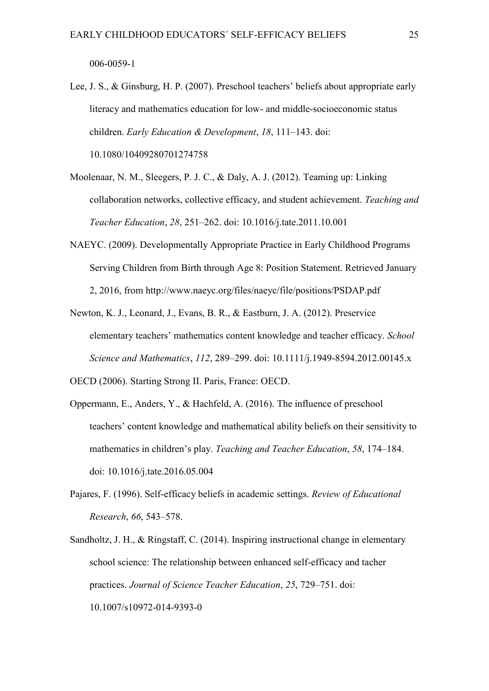006-0059-1

Lee, J. S., & Ginsburg, H. P. (2007). Preschool teachers' beliefs about appropriate early literacy and mathematics education for low- and middle-socioeconomic status children. *Early Education & Development*, *18*, 111–143. doi: 10.1080/10409280701274758

- Moolenaar, N. M., Sleegers, P. J. C., & Daly, A. J. (2012). Teaming up: Linking collaboration networks, collective efficacy, and student achievement. *Teaching and Teacher Education*, *28*, 251–262. doi: 10.1016/j.tate.2011.10.001
- NAEYC. (2009). Developmentally Appropriate Practice in Early Childhood Programs Serving Children from Birth through Age 8: Position Statement. Retrieved January 2, 2016, from http://www.naeyc.org/files/naeyc/file/positions/PSDAP.pdf
- Newton, K. J., Leonard, J., Evans, B. R., & Eastburn, J. A. (2012). Preservice elementary teachers' mathematics content knowledge and teacher efficacy. *School Science and Mathematics*, *112*, 289–299. doi: 10.1111/j.1949-8594.2012.00145.x
- OECD (2006). Starting Strong II. Paris, France: OECD.
- Oppermann, E., Anders, Y., & Hachfeld, A. (2016). The influence of preschool teachers' content knowledge and mathematical ability beliefs on their sensitivity to mathematics in children's play. *Teaching and Teacher Education*, *58*, 174–184. doi: 10.1016/j.tate.2016.05.004
- Pajares, F. (1996). Self-efficacy beliefs in academic settings. *Review of Educational Research*, *66*, 543–578.
- Sandholtz, J. H., & Ringstaff, C. (2014). Inspiring instructional change in elementary school science: The relationship between enhanced self-efficacy and tacher practices. *Journal of Science Teacher Education*, *25*, 729–751. doi: 10.1007/s10972-014-9393-0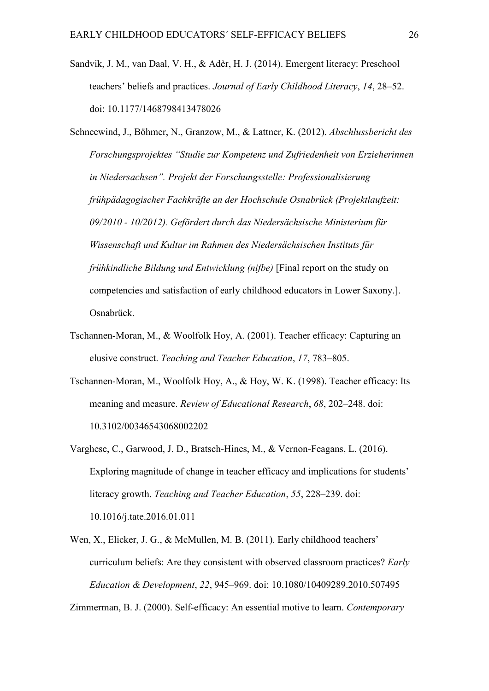- Sandvik, J. M., van Daal, V. H., & Adèr, H. J. (2014). Emergent literacy: Preschool teachers' beliefs and practices. *Journal of Early Childhood Literacy*, *14*, 28–52. doi: 10.1177/1468798413478026
- Schneewind, J., Böhmer, N., Granzow, M., & Lattner, K. (2012). *Abschlussbericht des Forschungsprojektes "Studie zur Kompetenz und Zufriedenheit von Erzieherinnen in Niedersachsen". Projekt der Forschungsstelle: Professionalisierung frühpädagogischer Fachkräfte an der Hochschule Osnabrück (Projektlaufzeit: 09/2010 - 10/2012). Gefördert durch das Niedersächsische Ministerium für Wissenschaft und Kultur im Rahmen des Niedersächsischen Instituts für frühkindliche Bildung und Entwicklung (nifbe)* [Final report on the study on competencies and satisfaction of early childhood educators in Lower Saxony.]. Osnabrück.
- Tschannen-Moran, M., & Woolfolk Hoy, A. (2001). Teacher efficacy: Capturing an elusive construct. *Teaching and Teacher Education*, *17*, 783–805.
- Tschannen-Moran, M., Woolfolk Hoy, A., & Hoy, W. K. (1998). Teacher efficacy: Its meaning and measure. *Review of Educational Research*, *68*, 202–248. doi: 10.3102/00346543068002202
- Varghese, C., Garwood, J. D., Bratsch-Hines, M., & Vernon-Feagans, L. (2016). Exploring magnitude of change in teacher efficacy and implications for students' literacy growth. *Teaching and Teacher Education*, *55*, 228–239. doi: 10.1016/j.tate.2016.01.011
- Wen, X., Elicker, J. G., & McMullen, M. B. (2011). Early childhood teachers' curriculum beliefs: Are they consistent with observed classroom practices? *Early Education & Development*, *22*, 945–969. doi: 10.1080/10409289.2010.507495

Zimmerman, B. J. (2000). Self-efficacy: An essential motive to learn. *Contemporary*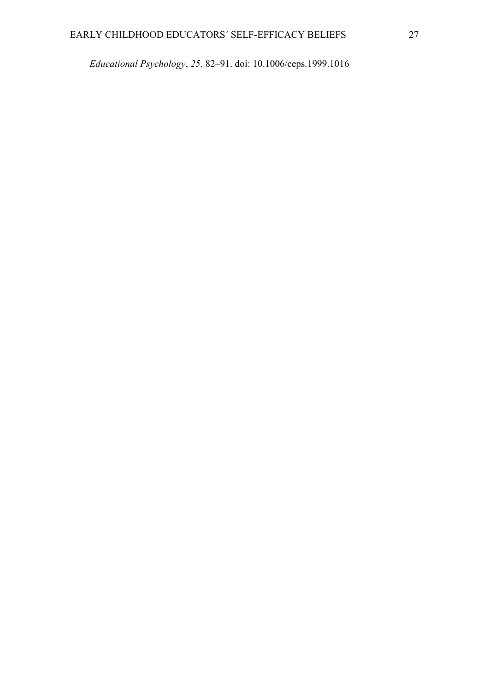*Educational Psychology*, *25*, 82–91. doi: 10.1006/ceps.1999.1016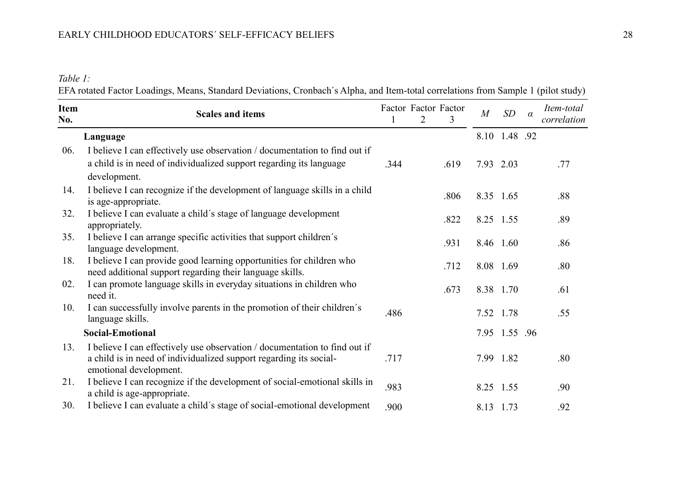## EARLY CHILDHOOD EDUCATORS´ SELF-EFFICACY BELIEFS 28

*Table 1:*

EFA rotated Factor Loadings, Means, Standard Deviations, Cronbach's Alpha, and Item-total correlations from Sample 1 (pilot study)

| <b>Item</b><br>No. | <b>Scales and items</b>                                                                                                                                                    |      | $\overline{2}$ | Factor Factor Factor<br>3 | $\overline{M}$ | SD            | $\alpha$ | Item-total<br>correlation |
|--------------------|----------------------------------------------------------------------------------------------------------------------------------------------------------------------------|------|----------------|---------------------------|----------------|---------------|----------|---------------------------|
|                    | Language                                                                                                                                                                   |      |                |                           |                | 8.10 1.48 .92 |          |                           |
| 06.                | I believe I can effectively use observation / documentation to find out if<br>a child is in need of individualized support regarding its language<br>development.          | .344 |                | .619                      | 7.93 2.03      |               |          | .77                       |
| 14.                | I believe I can recognize if the development of language skills in a child<br>is age-appropriate.                                                                          |      |                | .806                      | 8.35 1.65      |               |          | .88                       |
| 32.                | I believe I can evaluate a child's stage of language development<br>appropriately.                                                                                         |      |                | .822                      | 8.25 1.55      |               |          | .89                       |
| 35.                | I believe I can arrange specific activities that support children's<br>language development.                                                                               |      |                | .931                      |                | 8.46 1.60     |          | .86                       |
| 18.                | I believe I can provide good learning opportunities for children who<br>need additional support regarding their language skills.                                           |      |                | .712                      |                | 8.08 1.69     |          | .80                       |
| 02.                | I can promote language skills in everyday situations in children who<br>need it.                                                                                           |      |                | .673                      |                | 8.38 1.70     |          | .61                       |
| 10.                | I can successfully involve parents in the promotion of their children's<br>language skills.                                                                                | .486 |                |                           | 7.52 1.78      |               |          | .55                       |
|                    | <b>Social-Emotional</b>                                                                                                                                                    |      |                |                           |                | 7.95 1.55 .96 |          |                           |
| 13.                | I believe I can effectively use observation / documentation to find out if<br>a child is in need of individualized support regarding its social-<br>emotional development. | .717 |                |                           |                | 7.99 1.82     |          | .80                       |
| 21.                | I believe I can recognize if the development of social-emotional skills in<br>a child is age-appropriate.                                                                  | .983 |                |                           | 8.25 1.55      |               |          | .90                       |
| 30.                | I believe I can evaluate a child's stage of social-emotional development                                                                                                   | .900 |                |                           | 8.13 1.73      |               |          | .92                       |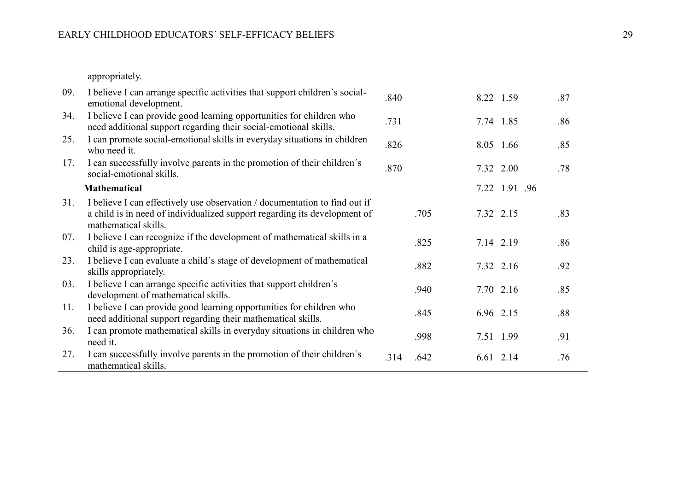appropriately.

| 09. | I believe I can arrange specific activities that support children's social-<br>emotional development.                                                                           | .840 |      |           | 8.22 1.59     | .87 |
|-----|---------------------------------------------------------------------------------------------------------------------------------------------------------------------------------|------|------|-----------|---------------|-----|
| 34. | I believe I can provide good learning opportunities for children who<br>need additional support regarding their social-emotional skills.                                        | .731 |      |           | 7.74 1.85     | .86 |
| 25. | I can promote social-emotional skills in everyday situations in children<br>who need it.                                                                                        | .826 |      |           | 8.05 1.66     | .85 |
| 17. | I can successfully involve parents in the promotion of their children's<br>social-emotional skills.                                                                             | .870 |      |           | 7.32 2.00     | .78 |
|     | <b>Mathematical</b>                                                                                                                                                             |      |      |           | 7.22 1.91 .96 |     |
| 31. | I believe I can effectively use observation / documentation to find out if<br>a child is in need of individualized support regarding its development of<br>mathematical skills. |      | .705 | 7.32 2.15 |               | .83 |
| 07. | I believe I can recognize if the development of mathematical skills in a<br>child is age-appropriate.                                                                           |      | .825 |           | 7.14 2.19     | .86 |
| 23. | I believe I can evaluate a child's stage of development of mathematical<br>skills appropriately.                                                                                |      | .882 |           | 7.32 2.16     | .92 |
| 03. | I believe I can arrange specific activities that support children's<br>development of mathematical skills.                                                                      |      | .940 |           | 7.70 2.16     | .85 |
| 11. | I believe I can provide good learning opportunities for children who<br>need additional support regarding their mathematical skills.                                            |      | .845 |           | 6.96 2.15     | .88 |
| 36. | I can promote mathematical skills in everyday situations in children who<br>need it.                                                                                            |      | .998 |           | 7.51 1.99     | .91 |
| 27. | I can successfully involve parents in the promotion of their children's<br>mathematical skills.                                                                                 | .314 | .642 |           | 6.61 2.14     | .76 |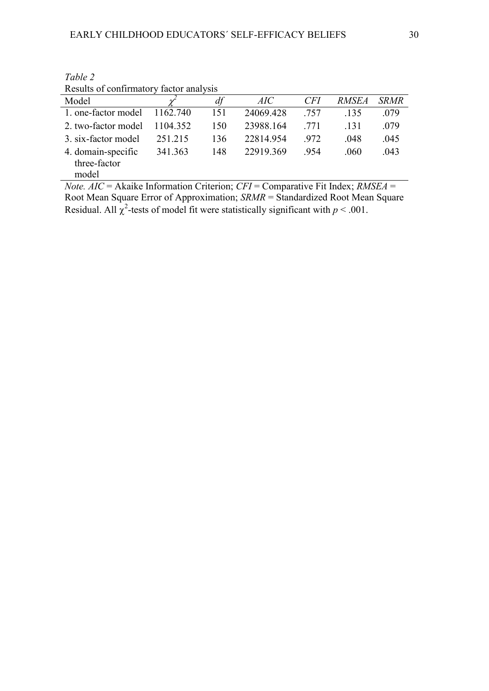| Results of commitmently factor and vsfs |          |     |           |      |              |             |  |  |
|-----------------------------------------|----------|-----|-----------|------|--------------|-------------|--|--|
| Model                                   |          | df  | AIC       | CFI  | <i>RMSEA</i> | <b>SRMR</b> |  |  |
| 1. one-factor model                     | 1162.740 | 151 | 24069.428 | .757 | .135         | .079        |  |  |
| 2. two-factor model                     | 1104 352 | 150 | 23988.164 | .771 | -131         | .079        |  |  |
| 3. six-factor model                     | 251.215  | 136 | 22814.954 | .972 | .048         | .045        |  |  |
| 4. domain-specific<br>three-factor      | 341.363  | 148 | 22919.369 | .954 | .060         | .043        |  |  |
| model                                   |          |     |           |      |              |             |  |  |

*Table 2* Results of confirmatory factor analysis

*Note. AIC* = Akaike Information Criterion; *CFI* = Comparative Fit Index; *RMSEA* = Root Mean Square Error of Approximation; *SRMR* = Standardized Root Mean Square Residual. All  $\chi^2$ -tests of model fit were statistically significant with  $p < .001$ .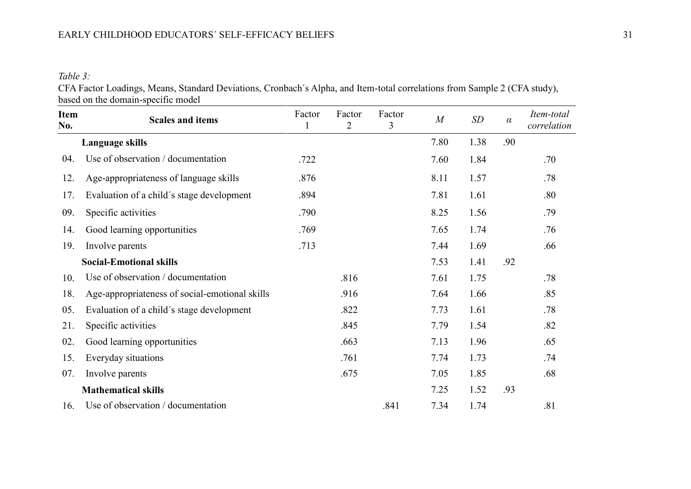*Table 3:*

CFA Factor Loadings, Means, Standard Deviations, Cronbach´s Alpha, and Item-total correlations from Sample 2 (CFA study), based on the domain-specific model

| <b>Item</b><br>No. | <b>Scales and items</b>                        | Factor | Factor<br>$\overline{2}$ | Factor<br>3 | $\overline{M}$ | SD   | $\alpha$ | Item-total<br>correlation |
|--------------------|------------------------------------------------|--------|--------------------------|-------------|----------------|------|----------|---------------------------|
|                    | Language skills                                |        |                          |             | 7.80           | 1.38 | .90      |                           |
| 04.                | Use of observation / documentation             | .722   |                          |             | 7.60           | 1.84 |          | .70                       |
| 12.                | Age-appropriateness of language skills         | .876   |                          |             | 8.11           | 1.57 |          | .78                       |
| 17.                | Evaluation of a child's stage development      | .894   |                          |             | 7.81           | 1.61 |          | .80                       |
| 09.                | Specific activities                            | .790   |                          |             | 8.25           | 1.56 |          | .79                       |
| 14.                | Good learning opportunities                    | .769   |                          |             | 7.65           | 1.74 |          | .76                       |
| 19.                | Involve parents                                | .713   |                          |             | 7.44           | 1.69 |          | .66                       |
|                    | <b>Social-Emotional skills</b>                 |        |                          |             | 7.53           | 1.41 | .92      |                           |
| 10.                | Use of observation / documentation             |        | .816                     |             | 7.61           | 1.75 |          | .78                       |
| 18.                | Age-appropriateness of social-emotional skills |        | .916                     |             | 7.64           | 1.66 |          | .85                       |
| 05.                | Evaluation of a child's stage development      |        | .822                     |             | 7.73           | 1.61 |          | .78                       |
| 21.                | Specific activities                            |        | .845                     |             | 7.79           | 1.54 |          | .82                       |
| 02.                | Good learning opportunities                    |        | .663                     |             | 7.13           | 1.96 |          | .65                       |
| 15.                | Everyday situations                            |        | .761                     |             | 7.74           | 1.73 |          | .74                       |
| 07.                | Involve parents                                |        | .675                     |             | 7.05           | 1.85 |          | .68                       |
|                    | <b>Mathematical skills</b>                     |        |                          |             | 7.25           | 1.52 | .93      |                           |
| 16.                | Use of observation / documentation             |        |                          | .841        | 7.34           | 1.74 |          | .81                       |